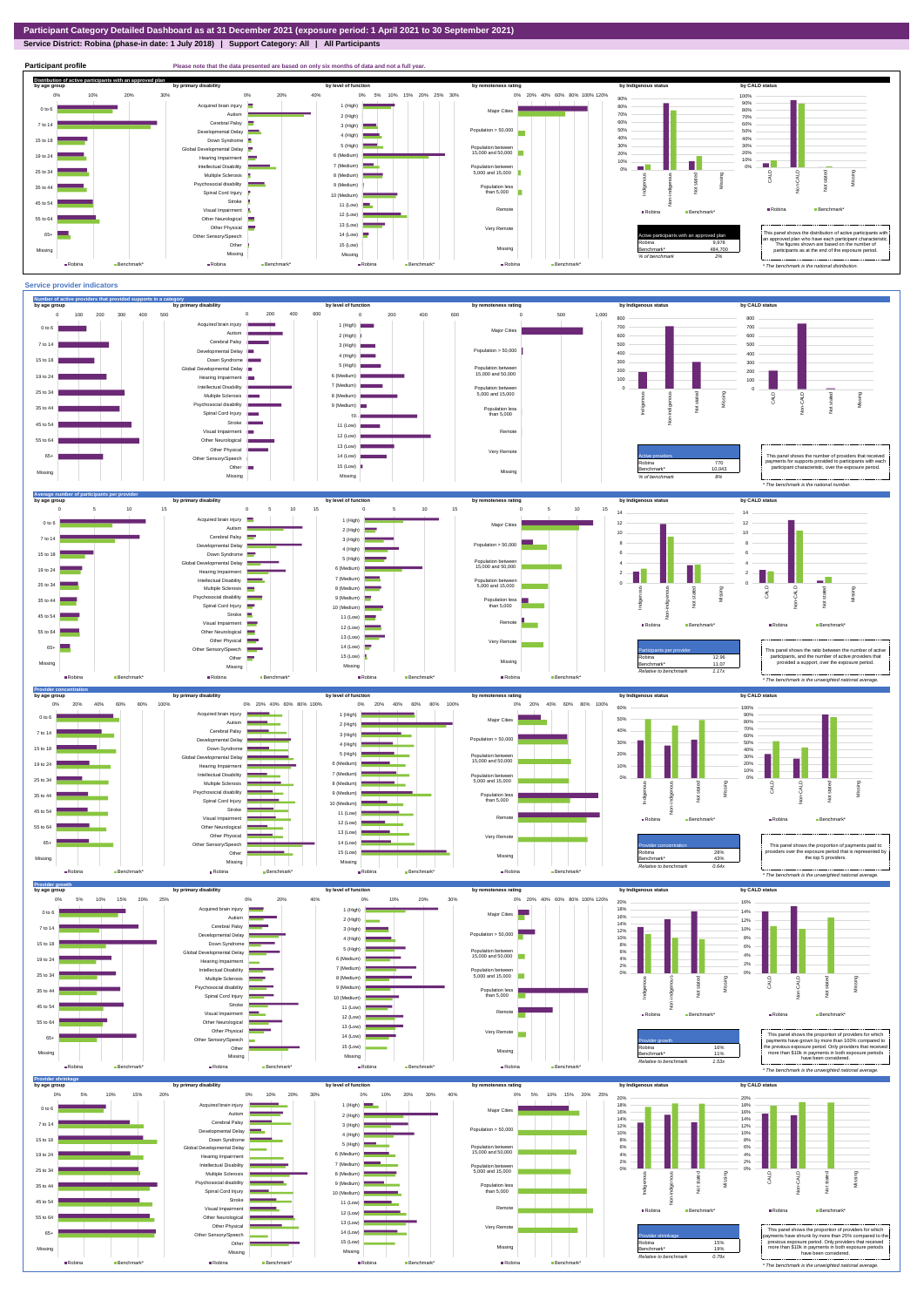## **Service District: Robina (phase-in date: 1 July 2018) | Support Category: All | All Participants**



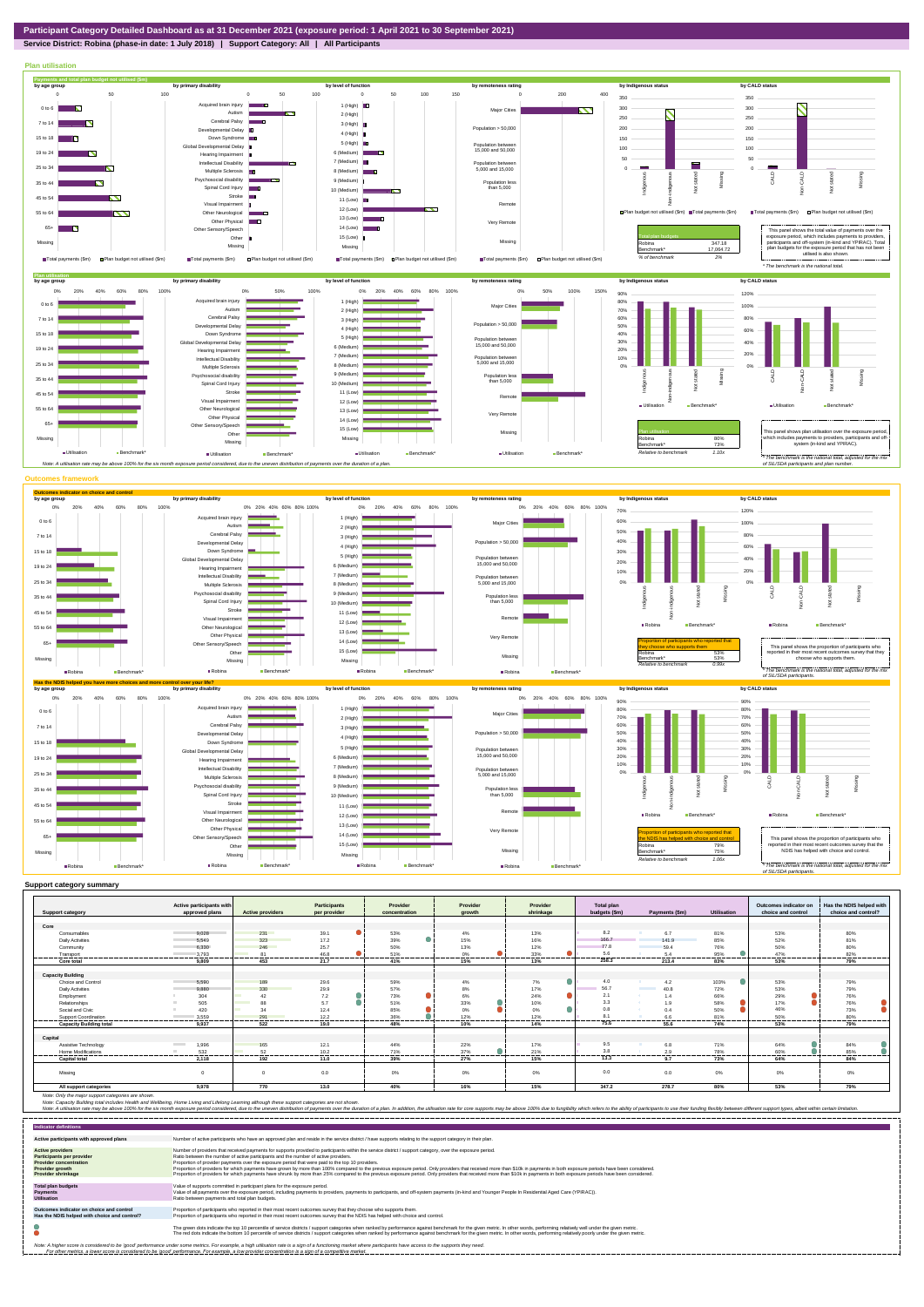**Service District: Robina (phase-in date: 1 July 2018) | Support Category: All | All Participants**



|                                | Active participants with          |                         | Participants | Provider      | Provider       | Provider  | Total plan    |                                  |                    | Outcomes indicator on | Has the NDIS helped with |
|--------------------------------|-----------------------------------|-------------------------|--------------|---------------|----------------|-----------|---------------|----------------------------------|--------------------|-----------------------|--------------------------|
| <b>Support category</b>        | approved plans                    | <b>Active providers</b> | per provider | concentration | arowth         | shrinkage | budgets (\$m) | Payments (\$m)                   | <b>Utilisation</b> | choice and control    | choice and control?      |
|                                |                                   |                         |              |               |                |           |               |                                  |                    |                       |                          |
| Core                           |                                   |                         |              |               |                |           |               |                                  |                    |                       |                          |
| Consumables                    | 9.028                             | 231                     | 39.1         | 53%           | 4%             | 13%       | 8.2           | 6.7                              | 81%                | 53%                   | 80%                      |
| <b>Daily Activities</b>        | 5.549                             | 323                     | 17.2         | 39%           | 15%            | 16%       | 166.7         | 141.9                            | 85%                | 52%                   | 81%                      |
| Community                      | 6.330                             | 246                     | 25.7         | 50%           | 13%            | 12%       | 77.8          | 59.4                             | 76%                | 50%                   | 80%                      |
| Transport<br>------------      | 3.793<br>----------------         | 81<br>--------          | 46.8<br>.    | 51%<br>.      | 0%<br>.        | 33%<br>   | 5.6<br>.      | 54<br>                           | 95%<br>            | 47%<br>.              | 82%<br>.                 |
| Core total                     | 9.809                             | 453                     | 21.7         | 41%           | 15%            | 13%       | 258.3         | 213.4                            | 83%                | 53%                   | 79%                      |
|                                |                                   |                         |              |               |                |           |               |                                  |                    |                       |                          |
| <b>Capacity Building</b>       |                                   |                         |              |               |                |           |               |                                  |                    |                       |                          |
| Choice and Control             | 5,590                             | 189                     | 29.6         | 59%           | 4%             | 7%        | 4.0           | 4.2                              | 103%               | 53%                   | 79%                      |
| <b>Daily Activities</b>        | 9.880                             | 330                     | 29.9         | 57%           | 8%             | 17%       | 56.7          | <b>Contract Contract</b><br>40.8 | 72%                | 53%                   | 79%                      |
| Employment                     | 304                               | 42                      | 7.2          | 73%           | 6%             | 24%       | 2.1           | 1.4                              | 66%                | 29%                   | 76%                      |
| Relationships                  | 505                               | 88                      | 5.7          | 51%           | 33%            | 10%       | 3.3           | 1.9                              | 58%                | 17%                   | 76%                      |
| Social and Civic               | 420                               | 34                      | 12.4         | 85%           | 0%             | 0%        | 0.8           | 0.4                              | 50%                | 46%                   | 73%                      |
| Support Coordination           | 3.559                             | 291                     | 12.2<br>.    | 36%           | 12%<br>------- | 12%       | $\circ$       | 66                               | 81%                | 50%                   | 80%<br>-------           |
| <b>Capacity Building total</b> | 9.937                             | 522                     | 19.0         | 48%           | 10%            | 14%       | 75.6          | 55.6                             | 74%                | 53%                   | 79%                      |
|                                |                                   |                         |              |               |                |           |               |                                  |                    |                       |                          |
| Capital                        |                                   |                         |              |               |                |           |               |                                  |                    |                       |                          |
| Assistive Technology           | 1,996<br><b>Contract Contract</b> | 165                     | 12.1         | 44%           | 22%            | 17%       | 9.5           | 6.8                              | 71%                | 64%                   | 84%                      |
| <b>Home Modifications</b>      | 532                               | 52                      | 10.2         | 71%           | 37%            | 21%       | 3.8           | 2.9                              | 78%                | 60%                   | 85%                      |
| <b>Capital total</b>           | 2.118                             | 192                     | 11.0         | 39%           | 27%            | 15%       | 13.3          | 9.7                              | 73%                | 64%                   | 84%                      |
| Missina                        |                                   | $\Omega$                | 0.0          | 0%            | 0%             | 0%        | 0.0           | 0.0                              | 0%                 | 0%                    | 0%                       |
| All support categories         | 9,978                             | 770                     | 13.0         | 40%           | 16%            | 15%       | 347.2         | 278.7                            | 80%                | 53%                   | 79%                      |

Note: Only the major support categories are shown.<br>Note: Capacity Building total individual Wellbeing, Home Living and Lifelong Learning although these support categories are not shown.<br>Note: A utilisation rate may be abov

| <b>Indicator definitions</b>                                                                                                                        |                                                                                                                                                                                                                                                                                                                                                                                                                                                                                                                                                                                                                                                                                                                                                                                                                 |
|-----------------------------------------------------------------------------------------------------------------------------------------------------|-----------------------------------------------------------------------------------------------------------------------------------------------------------------------------------------------------------------------------------------------------------------------------------------------------------------------------------------------------------------------------------------------------------------------------------------------------------------------------------------------------------------------------------------------------------------------------------------------------------------------------------------------------------------------------------------------------------------------------------------------------------------------------------------------------------------|
| Active participants with approved plans                                                                                                             | Number of active participants who have an approved plan and reside in the service district / have supports relating to the support category in their plan.                                                                                                                                                                                                                                                                                                                                                                                                                                                                                                                                                                                                                                                      |
| <b>Active providers</b><br><b>Participants per provider</b><br><b>Provider concentration</b><br><b>Provider growth</b><br><b>Provider shrinkage</b> | Number of providers that received payments for supports provided to participants within the service district / support category, over the exposure period.<br>Ratio between the number of active participants and the number of active providers.<br>Proportion of provider payments over the exposure period that were paid to the top 10 providers.<br>Proportion of providers for which payments have grown by more than 100% compared to the previous exposure period. Only providers that received more than \$10k in payments in both exposure periods have been considered.<br>Proportion of providers for which payments have shrunk by more than 25% compared to the previous exposure period. Only providers that received more than \$10k in payments in both exposure periods have been considered. |
| <b>Total plan budgets</b><br><b>Payments</b><br><b>Utilisation</b>                                                                                  | Value of supports committed in participant plans for the exposure period.<br>Value of all payments over the exposure period, including payments to providers, payments to participants, and off-system payments (in-kind and Younger People In Residential Aged Care (YPIRAC)).<br>Ratio between payments and total plan budgets.                                                                                                                                                                                                                                                                                                                                                                                                                                                                               |
| Outcomes indicator on choice and control<br>Has the NDIS helped with choice and control?                                                            | Proportion of participants who reported in their most recent outcomes survey that they choose who supports them.<br>Proportion of participants who reported in their most recent outcomes survey that the NDIS has helped with choice and control.                                                                                                                                                                                                                                                                                                                                                                                                                                                                                                                                                              |
|                                                                                                                                                     | The green dots indicate the top 10 percentile of service districts / support categories when ranked by performance against benchmark for the given metric. In other words, performing relatively well under the given metric.<br>The red dots indicate the bottom 10 percentile of service districts / support categories when ranked by performance against benchmark for the given metric. In other words, performing relatively poorly under the given metri                                                                                                                                                                                                                                                                                                                                                 |
|                                                                                                                                                     | Note: A higher score is considered to be 'good' performance under some metrics. For example, a high utilisation rate is a sign of a functioning market where participants have access to the supports they need.<br>For other metrics, a lower score is considered to be 'good' performance. For example, a low provider concentration is a sign of a competitive market.                                                                                                                                                                                                                                                                                                                                                                                                                                       |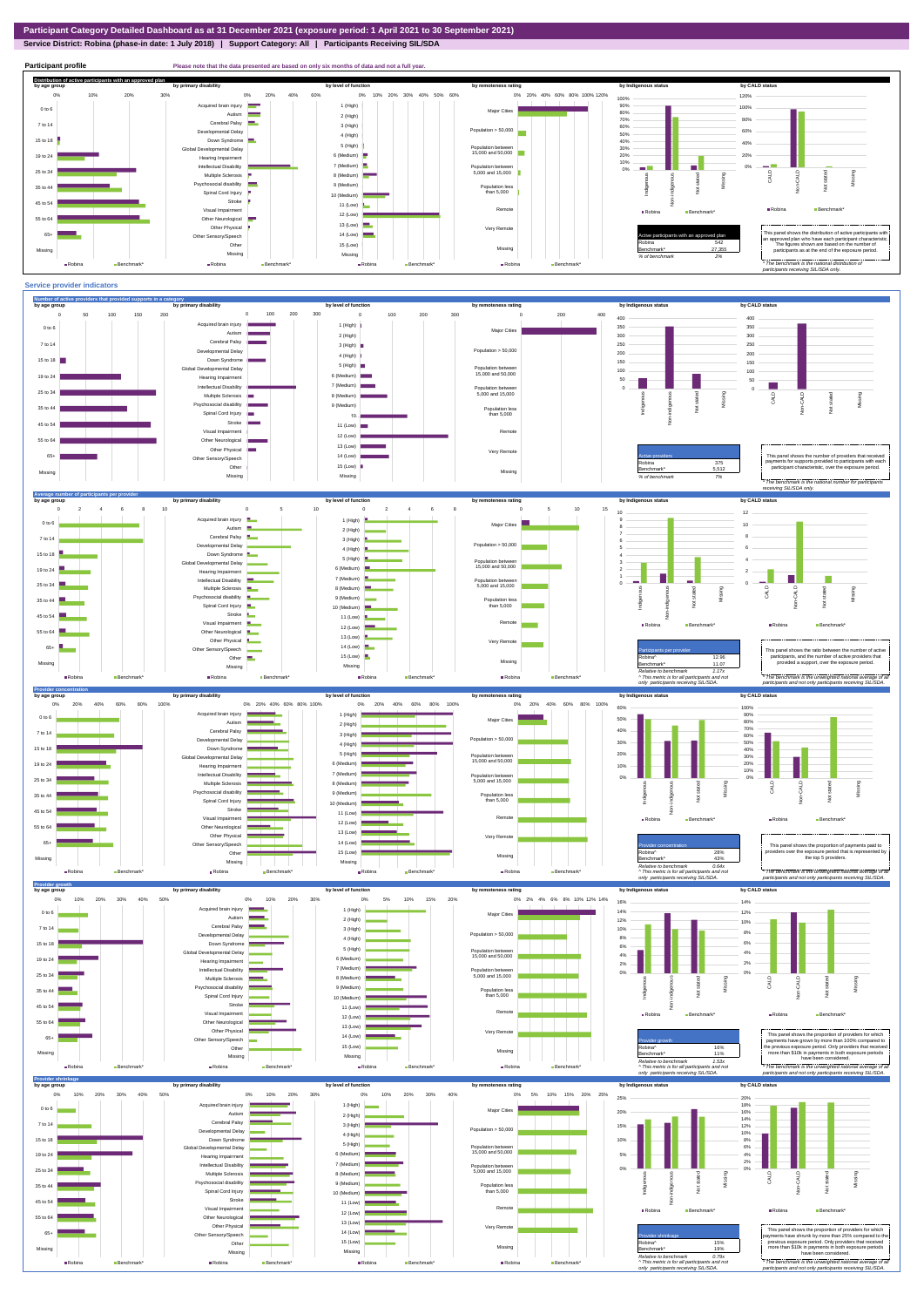**Service District: Robina (phase-in date: 1 July 2018) | Support Category: All | Participants Receiving SIL/SDA**



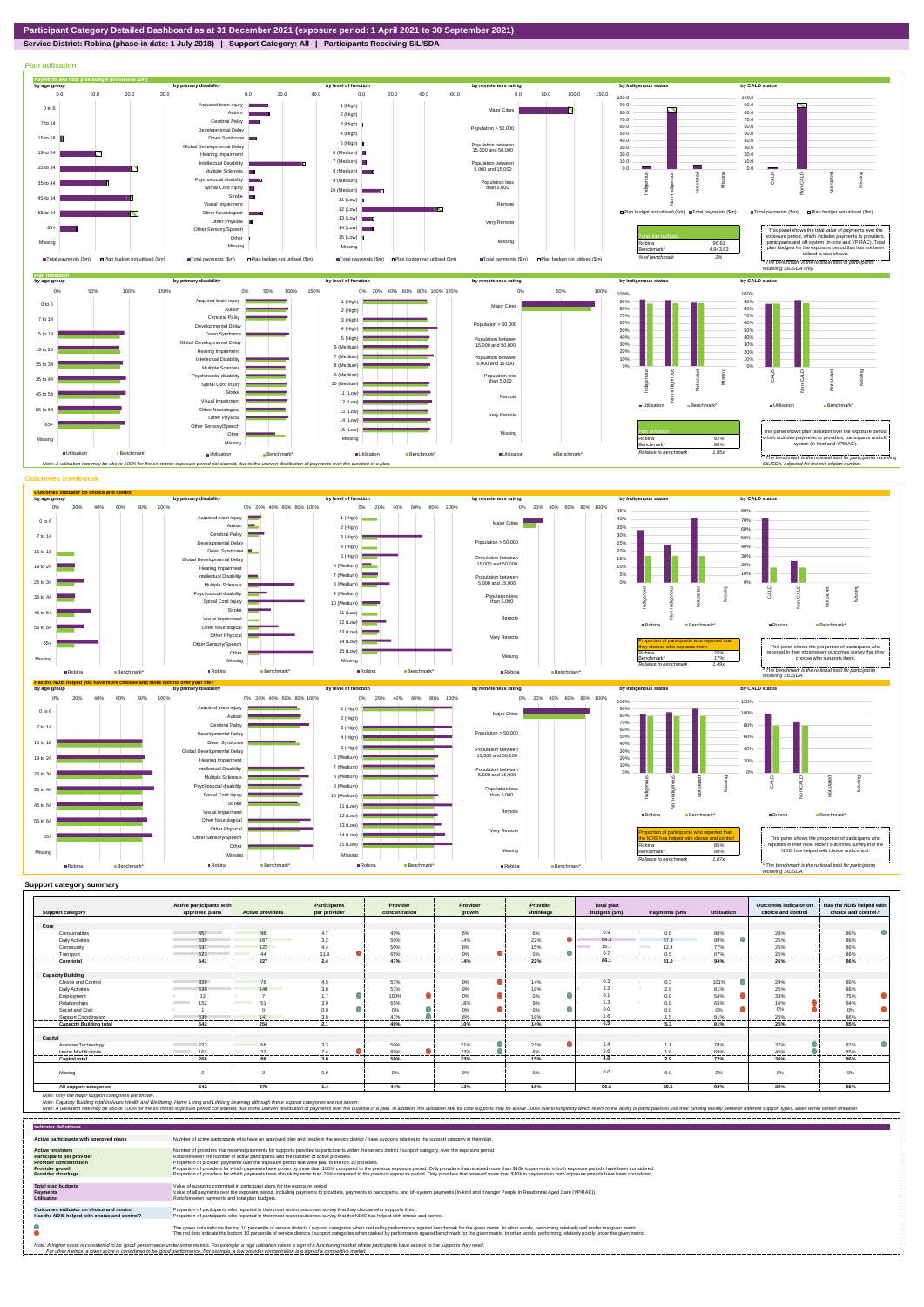**Service District: Robina (phase-in date: 1 July 2018) | Support Category: All | Participants Receiving SIL/SDA**



| Core<br>0.9<br>49%<br>6%<br>Consumables<br>98<br>4.7<br>6%<br>88%<br>28%<br>457<br>0.8<br>$\bullet$<br>68.3<br>99%<br>167<br>50%<br>22%<br>67.3<br>25%<br><b>Daily Activities</b><br>3.2<br>14%<br>539<br>16.1<br>122<br>15%<br>77%<br>25%<br>50%<br>8%<br><b>The Contract of Street</b><br>12.4<br>Community<br>531<br>4.4<br>●<br>0.7<br>0%<br>65%<br>0%<br>25%<br>523<br>11.9<br>0.5<br>67%<br>Transport<br>44<br>86.1<br>541<br>227<br>47%<br>14%<br>22%<br>26%<br>2.4<br>81.0<br>94%<br>Core total<br><b>Capacity Building</b><br>0.3<br>101%<br>Choice and Control<br>339<br>4.5<br>0%<br>0.3<br>29%<br>76<br>57%<br>14%<br>3.2<br>$9\%$<br>25%<br>140<br>3.8<br>57%<br>81%<br><b>Daily Activities</b><br>538<br>18%<br>2.6<br>and the state of the state of the state of the state of the state of the state of the state of the state of th<br>$\bullet$<br>0%<br>0%<br>100%<br>0.1<br>54%<br>33%<br>1.7<br>12<br>0.0<br>Employment<br>1.3<br>Relationships<br>18%<br>65%<br>152<br>3.0<br>65%<br>9%<br>16%<br>51<br>0.8<br><b>Contract Contract</b><br>$\bullet$<br>0%<br>0%<br>0.0<br>0.0<br>0%<br>0%<br>$0\%$<br>Social and Civic<br>0.0<br>3.8<br>8%<br>91%<br>25%<br>41%<br>16%<br>Support Coordination<br>1.5<br>539<br>141<br>-----------<br>-------<br>.<br>----------<br>.<br>---------<br>.<br>-------<br>.<br>-------------<br>-------<br><b>Capacity Building total</b><br>254<br>40%<br>10%<br>6.5<br>25%<br>542<br>2.1<br>14%<br>81%<br>5.3<br>Capital<br>223<br>37%<br>Assistive Technology<br>68<br>3.3<br>50%<br>21%<br>21%<br>1.4<br>78%<br>1.1<br>23%<br>2.6<br>163<br>22<br>89%<br>69%<br>7.4<br>8%<br>45%<br><b>Home Modifications</b><br>1.8<br><b>Contract Contract</b><br>-------<br>------<br><br>4.0<br>268<br>88<br>3.0<br>58%<br>23%<br>15%<br>72%<br>36%<br>2.9<br><b>Capital total</b><br>0.0<br>0.0<br>0%<br>0%<br>0.0<br>0%<br>0%<br>0%<br>0%<br>Missing<br>$\Omega$<br>$\Omega$ |                         | Active participants with |                         | Participants | Provider      | Provider | Provider  | Total plan    |                |             | Outcomes indicator on | Has the NDIS helped with |
|--------------------------------------------------------------------------------------------------------------------------------------------------------------------------------------------------------------------------------------------------------------------------------------------------------------------------------------------------------------------------------------------------------------------------------------------------------------------------------------------------------------------------------------------------------------------------------------------------------------------------------------------------------------------------------------------------------------------------------------------------------------------------------------------------------------------------------------------------------------------------------------------------------------------------------------------------------------------------------------------------------------------------------------------------------------------------------------------------------------------------------------------------------------------------------------------------------------------------------------------------------------------------------------------------------------------------------------------------------------------------------------------------------------------------------------------------------------------------------------------------------------------------------------------------------------------------------------------------------------------------------------------------------------------------------------------------------------------------------------------------------------------------------------------------------------------------------------------------------------------------------------------------------------------------|-------------------------|--------------------------|-------------------------|--------------|---------------|----------|-----------|---------------|----------------|-------------|-----------------------|--------------------------|
|                                                                                                                                                                                                                                                                                                                                                                                                                                                                                                                                                                                                                                                                                                                                                                                                                                                                                                                                                                                                                                                                                                                                                                                                                                                                                                                                                                                                                                                                                                                                                                                                                                                                                                                                                                                                                                                                                                                          | <b>Support category</b> | approved plans           | <b>Active providers</b> | per provider | concentration | arowth   | shrinkage | budgets (\$m) | Payments (\$m) | Utilisation | choice and control    | choice and control?      |
|                                                                                                                                                                                                                                                                                                                                                                                                                                                                                                                                                                                                                                                                                                                                                                                                                                                                                                                                                                                                                                                                                                                                                                                                                                                                                                                                                                                                                                                                                                                                                                                                                                                                                                                                                                                                                                                                                                                          |                         |                          |                         |              |               |          |           |               |                |             |                       |                          |
|                                                                                                                                                                                                                                                                                                                                                                                                                                                                                                                                                                                                                                                                                                                                                                                                                                                                                                                                                                                                                                                                                                                                                                                                                                                                                                                                                                                                                                                                                                                                                                                                                                                                                                                                                                                                                                                                                                                          |                         |                          |                         |              |               |          |           |               |                |             |                       | 86%                      |
|                                                                                                                                                                                                                                                                                                                                                                                                                                                                                                                                                                                                                                                                                                                                                                                                                                                                                                                                                                                                                                                                                                                                                                                                                                                                                                                                                                                                                                                                                                                                                                                                                                                                                                                                                                                                                                                                                                                          |                         |                          |                         |              |               |          |           |               |                |             |                       | 86%                      |
|                                                                                                                                                                                                                                                                                                                                                                                                                                                                                                                                                                                                                                                                                                                                                                                                                                                                                                                                                                                                                                                                                                                                                                                                                                                                                                                                                                                                                                                                                                                                                                                                                                                                                                                                                                                                                                                                                                                          |                         |                          |                         |              |               |          |           |               |                |             |                       | 86%                      |
|                                                                                                                                                                                                                                                                                                                                                                                                                                                                                                                                                                                                                                                                                                                                                                                                                                                                                                                                                                                                                                                                                                                                                                                                                                                                                                                                                                                                                                                                                                                                                                                                                                                                                                                                                                                                                                                                                                                          |                         |                          |                         |              |               |          |           |               |                |             |                       | 86%                      |
|                                                                                                                                                                                                                                                                                                                                                                                                                                                                                                                                                                                                                                                                                                                                                                                                                                                                                                                                                                                                                                                                                                                                                                                                                                                                                                                                                                                                                                                                                                                                                                                                                                                                                                                                                                                                                                                                                                                          |                         |                          |                         |              |               |          |           |               |                |             |                       | 86%                      |
|                                                                                                                                                                                                                                                                                                                                                                                                                                                                                                                                                                                                                                                                                                                                                                                                                                                                                                                                                                                                                                                                                                                                                                                                                                                                                                                                                                                                                                                                                                                                                                                                                                                                                                                                                                                                                                                                                                                          |                         |                          |                         |              |               |          |           |               |                |             |                       |                          |
|                                                                                                                                                                                                                                                                                                                                                                                                                                                                                                                                                                                                                                                                                                                                                                                                                                                                                                                                                                                                                                                                                                                                                                                                                                                                                                                                                                                                                                                                                                                                                                                                                                                                                                                                                                                                                                                                                                                          |                         |                          |                         |              |               |          |           |               |                |             |                       |                          |
|                                                                                                                                                                                                                                                                                                                                                                                                                                                                                                                                                                                                                                                                                                                                                                                                                                                                                                                                                                                                                                                                                                                                                                                                                                                                                                                                                                                                                                                                                                                                                                                                                                                                                                                                                                                                                                                                                                                          |                         |                          |                         |              |               |          |           |               |                |             |                       | 86%                      |
|                                                                                                                                                                                                                                                                                                                                                                                                                                                                                                                                                                                                                                                                                                                                                                                                                                                                                                                                                                                                                                                                                                                                                                                                                                                                                                                                                                                                                                                                                                                                                                                                                                                                                                                                                                                                                                                                                                                          |                         |                          |                         |              |               |          |           |               |                |             |                       | 86%                      |
|                                                                                                                                                                                                                                                                                                                                                                                                                                                                                                                                                                                                                                                                                                                                                                                                                                                                                                                                                                                                                                                                                                                                                                                                                                                                                                                                                                                                                                                                                                                                                                                                                                                                                                                                                                                                                                                                                                                          |                         |                          |                         |              |               |          |           |               |                |             |                       | 75%                      |
|                                                                                                                                                                                                                                                                                                                                                                                                                                                                                                                                                                                                                                                                                                                                                                                                                                                                                                                                                                                                                                                                                                                                                                                                                                                                                                                                                                                                                                                                                                                                                                                                                                                                                                                                                                                                                                                                                                                          |                         |                          |                         |              |               |          |           |               |                |             |                       | 84%                      |
|                                                                                                                                                                                                                                                                                                                                                                                                                                                                                                                                                                                                                                                                                                                                                                                                                                                                                                                                                                                                                                                                                                                                                                                                                                                                                                                                                                                                                                                                                                                                                                                                                                                                                                                                                                                                                                                                                                                          |                         |                          |                         |              |               |          |           |               |                |             |                       | 0%                       |
|                                                                                                                                                                                                                                                                                                                                                                                                                                                                                                                                                                                                                                                                                                                                                                                                                                                                                                                                                                                                                                                                                                                                                                                                                                                                                                                                                                                                                                                                                                                                                                                                                                                                                                                                                                                                                                                                                                                          |                         |                          |                         |              |               |          |           |               |                |             |                       | 86%                      |
|                                                                                                                                                                                                                                                                                                                                                                                                                                                                                                                                                                                                                                                                                                                                                                                                                                                                                                                                                                                                                                                                                                                                                                                                                                                                                                                                                                                                                                                                                                                                                                                                                                                                                                                                                                                                                                                                                                                          |                         |                          |                         |              |               |          |           |               |                |             |                       | 85%                      |
|                                                                                                                                                                                                                                                                                                                                                                                                                                                                                                                                                                                                                                                                                                                                                                                                                                                                                                                                                                                                                                                                                                                                                                                                                                                                                                                                                                                                                                                                                                                                                                                                                                                                                                                                                                                                                                                                                                                          |                         |                          |                         |              |               |          |           |               |                |             |                       |                          |
|                                                                                                                                                                                                                                                                                                                                                                                                                                                                                                                                                                                                                                                                                                                                                                                                                                                                                                                                                                                                                                                                                                                                                                                                                                                                                                                                                                                                                                                                                                                                                                                                                                                                                                                                                                                                                                                                                                                          |                         |                          |                         |              |               |          |           |               |                |             |                       |                          |
|                                                                                                                                                                                                                                                                                                                                                                                                                                                                                                                                                                                                                                                                                                                                                                                                                                                                                                                                                                                                                                                                                                                                                                                                                                                                                                                                                                                                                                                                                                                                                                                                                                                                                                                                                                                                                                                                                                                          |                         |                          |                         |              |               |          |           |               |                |             |                       | 87%                      |
|                                                                                                                                                                                                                                                                                                                                                                                                                                                                                                                                                                                                                                                                                                                                                                                                                                                                                                                                                                                                                                                                                                                                                                                                                                                                                                                                                                                                                                                                                                                                                                                                                                                                                                                                                                                                                                                                                                                          |                         |                          |                         |              |               |          |           |               |                |             |                       | 85%                      |
|                                                                                                                                                                                                                                                                                                                                                                                                                                                                                                                                                                                                                                                                                                                                                                                                                                                                                                                                                                                                                                                                                                                                                                                                                                                                                                                                                                                                                                                                                                                                                                                                                                                                                                                                                                                                                                                                                                                          |                         |                          |                         |              |               |          |           |               |                |             |                       | 86%                      |
|                                                                                                                                                                                                                                                                                                                                                                                                                                                                                                                                                                                                                                                                                                                                                                                                                                                                                                                                                                                                                                                                                                                                                                                                                                                                                                                                                                                                                                                                                                                                                                                                                                                                                                                                                                                                                                                                                                                          |                         |                          |                         |              |               |          |           |               |                |             |                       |                          |
|                                                                                                                                                                                                                                                                                                                                                                                                                                                                                                                                                                                                                                                                                                                                                                                                                                                                                                                                                                                                                                                                                                                                                                                                                                                                                                                                                                                                                                                                                                                                                                                                                                                                                                                                                                                                                                                                                                                          |                         |                          |                         |              |               |          |           |               |                |             |                       |                          |
|                                                                                                                                                                                                                                                                                                                                                                                                                                                                                                                                                                                                                                                                                                                                                                                                                                                                                                                                                                                                                                                                                                                                                                                                                                                                                                                                                                                                                                                                                                                                                                                                                                                                                                                                                                                                                                                                                                                          | All support categories  | 542                      | 375                     | 1.4          | 44%           | 13%      | 18%       | 96.6          | 89.1           | 92%         | 25%                   | 85%                      |

Note: Only the major support categories are shown.<br>Note: Capacity Building total individual Wellbeing, Home Living and Lifelong Learning although these support categories are not shown.<br>Note: A utilisation rate may be abov

| <b>Indicator definitions</b>                                                                                                                        |                                                                                                                                                                                                                                                                                                                                                                                                                                                                                                                                                                                                                                                                                                                                                                                                                 |
|-----------------------------------------------------------------------------------------------------------------------------------------------------|-----------------------------------------------------------------------------------------------------------------------------------------------------------------------------------------------------------------------------------------------------------------------------------------------------------------------------------------------------------------------------------------------------------------------------------------------------------------------------------------------------------------------------------------------------------------------------------------------------------------------------------------------------------------------------------------------------------------------------------------------------------------------------------------------------------------|
| Active participants with approved plans                                                                                                             | Number of active participants who have an approved plan and reside in the service district / have supports relating to the support category in their plan.                                                                                                                                                                                                                                                                                                                                                                                                                                                                                                                                                                                                                                                      |
| <b>Active providers</b><br><b>Participants per provider</b><br><b>Provider concentration</b><br><b>Provider growth</b><br><b>Provider shrinkage</b> | Number of providers that received payments for supports provided to participants within the service district / support category, over the exposure period.<br>Ratio between the number of active participants and the number of active providers.<br>Proportion of provider payments over the exposure period that were paid to the top 10 providers.<br>Proportion of providers for which payments have grown by more than 100% compared to the previous exposure period. Only providers that received more than \$10k in payments in both exposure periods have been considered.<br>Proportion of providers for which payments have shrunk by more than 25% compared to the previous exposure period. Only providers that received more than \$10k in payments in both exposure periods have been considered. |
| <b>Total plan budgets</b><br><b>Payments</b><br><b>Utilisation</b>                                                                                  | Value of supports committed in participant plans for the exposure period.<br>Value of all payments over the exposure period, including payments to providers, payments to participants, and off-system payments (in-kind and Younger People In Residential Aged Care (YPIRAC)).<br>Ratio between payments and total plan budgets.                                                                                                                                                                                                                                                                                                                                                                                                                                                                               |
| Outcomes indicator on choice and control<br>Has the NDIS helped with choice and control?                                                            | Proportion of participants who reported in their most recent outcomes survey that they choose who supports them.<br>Proportion of participants who reported in their most recent outcomes survey that the NDIS has helped with choice and control.                                                                                                                                                                                                                                                                                                                                                                                                                                                                                                                                                              |
|                                                                                                                                                     | The green dots indicate the top 10 percentile of service districts / support categories when ranked by performance against benchmark for the given metric. In other words, performing relatively well under the given metric.<br>The red dots indicate the bottom 10 percentile of service districts / support categories when ranked by performance against benchmark for the given metric. In other words, performing relatively poorly under the given metri                                                                                                                                                                                                                                                                                                                                                 |
|                                                                                                                                                     | Note: A higher score is considered to be 'good' performance under some metrics. For example, a high utilisation rate is a sign of a functioning market where participants have access to the supports they need.<br>For other metrics, a lower score is considered to be 'good' performance. For example, a low provider concentration is a sign of a competitive market.                                                                                                                                                                                                                                                                                                                                                                                                                                       |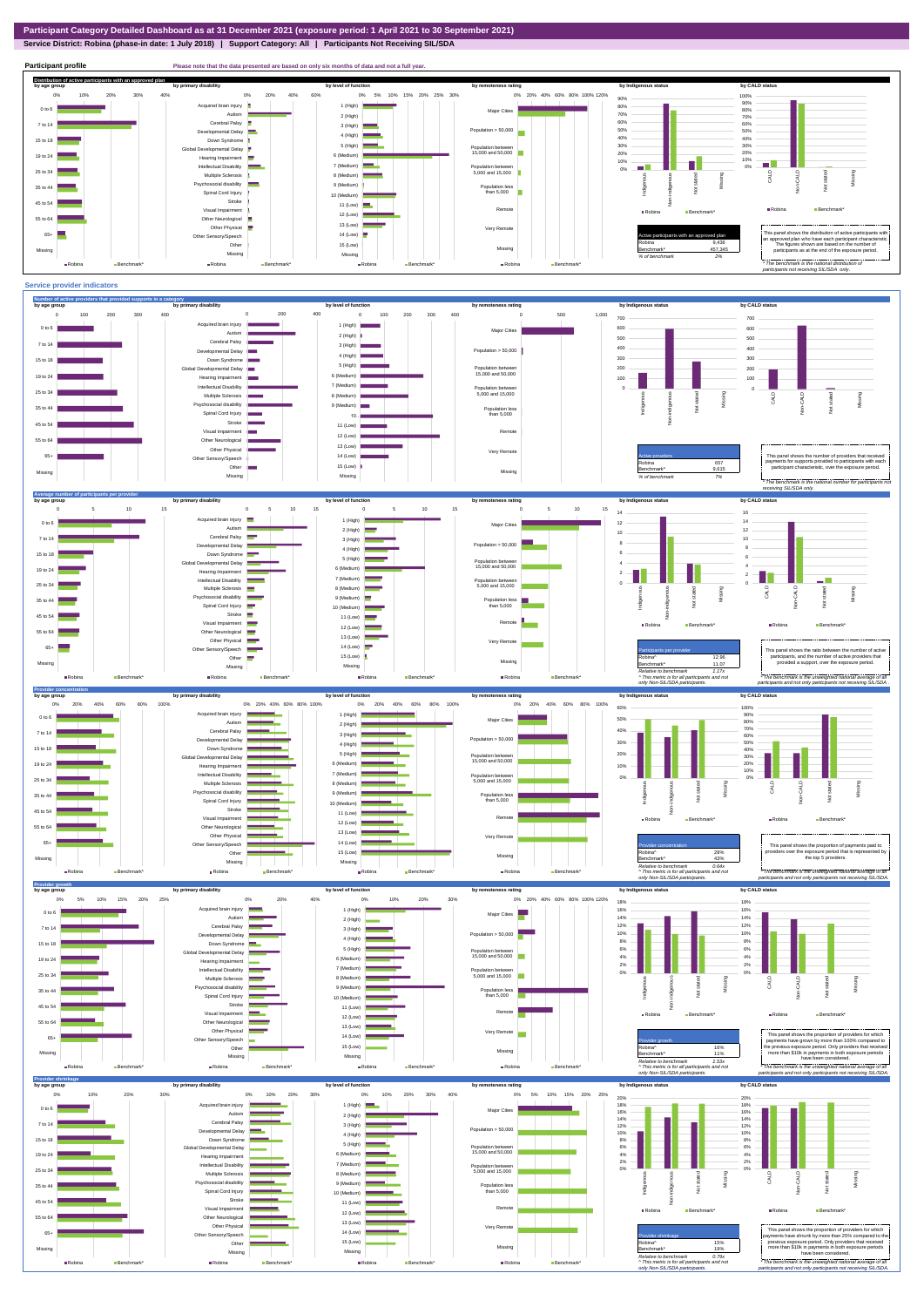**Service District: Robina (phase-in date: 1 July 2018) | Support Category: All | Participants Not Receiving SIL/SDA**

**Participant profile Please note that the data presented are based on only six months of data and not a full year.**